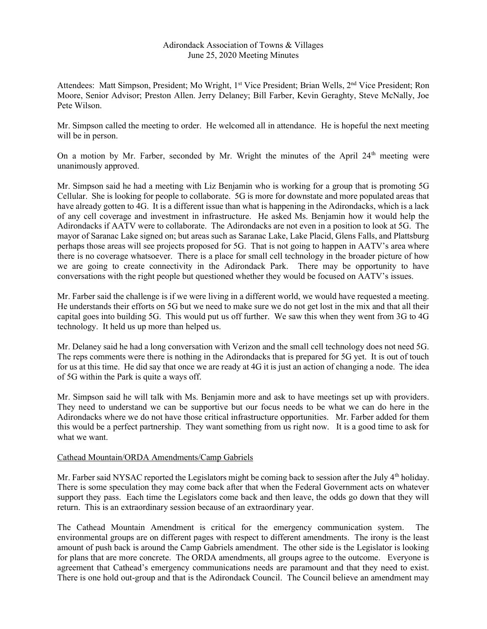## Adirondack Association of Towns & Villages June 25, 2020 Meeting Minutes

Attendees: Matt Simpson, President; Mo Wright, 1<sup>st</sup> Vice President; Brian Wells, 2<sup>nd</sup> Vice President; Ron Moore, Senior Advisor; Preston Allen. Jerry Delaney; Bill Farber, Kevin Geraghty, Steve McNally, Joe Pete Wilson.

Mr. Simpson called the meeting to order. He welcomed all in attendance. He is hopeful the next meeting will be in person.

On a motion by Mr. Farber, seconded by Mr. Wright the minutes of the April  $24<sup>th</sup>$  meeting were unanimously approved.

Mr. Simpson said he had a meeting with Liz Benjamin who is working for a group that is promoting 5G Cellular. She is looking for people to collaborate. 5G is more for downstate and more populated areas that have already gotten to 4G. It is a different issue than what is happening in the Adirondacks, which is a lack of any cell coverage and investment in infrastructure. He asked Ms. Benjamin how it would help the Adirondacks if AATV were to collaborate. The Adirondacks are not even in a position to look at 5G. The mayor of Saranac Lake signed on; but areas such as Saranac Lake, Lake Placid, Glens Falls, and Plattsburg perhaps those areas will see projects proposed for 5G. That is not going to happen in AATV's area where there is no coverage whatsoever. There is a place for small cell technology in the broader picture of how we are going to create connectivity in the Adirondack Park. There may be opportunity to have conversations with the right people but questioned whether they would be focused on AATV's issues.

Mr. Farber said the challenge is if we were living in a different world, we would have requested a meeting. He understands their efforts on 5G but we need to make sure we do not get lost in the mix and that all their capital goes into building 5G. This would put us off further. We saw this when they went from 3G to 4G technology. It held us up more than helped us.

Mr. Delaney said he had a long conversation with Verizon and the small cell technology does not need 5G. The reps comments were there is nothing in the Adirondacks that is prepared for 5G yet. It is out of touch for us at this time. He did say that once we are ready at 4G it is just an action of changing a node. The idea of 5G within the Park is quite a ways off.

Mr. Simpson said he will talk with Ms. Benjamin more and ask to have meetings set up with providers. They need to understand we can be supportive but our focus needs to be what we can do here in the Adirondacks where we do not have those critical infrastructure opportunities. Mr. Farber added for them this would be a perfect partnership. They want something from us right now. It is a good time to ask for what we want.

## Cathead Mountain/ORDA Amendments/Camp Gabriels

Mr. Farber said NYSAC reported the Legislators might be coming back to session after the July 4<sup>th</sup> holiday. There is some speculation they may come back after that when the Federal Government acts on whatever support they pass. Each time the Legislators come back and then leave, the odds go down that they will return. This is an extraordinary session because of an extraordinary year.

The Cathead Mountain Amendment is critical for the emergency communication system. The environmental groups are on different pages with respect to different amendments. The irony is the least amount of push back is around the Camp Gabriels amendment. The other side is the Legislator is looking for plans that are more concrete. The ORDA amendments, all groups agree to the outcome. Everyone is agreement that Cathead's emergency communications needs are paramount and that they need to exist. There is one hold out-group and that is the Adirondack Council. The Council believe an amendment may